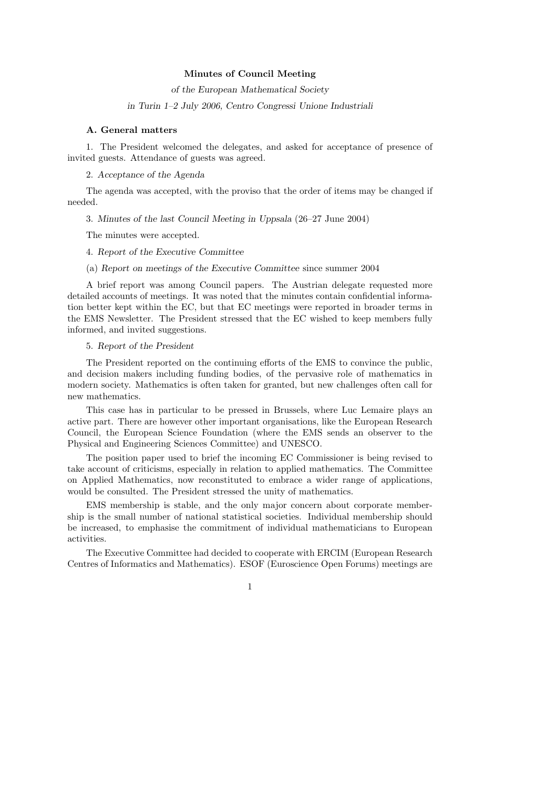## Minutes of Council Meeting

of the European Mathematical Society

in Turin 1–2 July 2006, Centro Congressi Unione Industriali

## A. General matters

1. The President welcomed the delegates, and asked for acceptance of presence of invited guests. Attendance of guests was agreed.

2. Acceptance of the Agenda

The agenda was accepted, with the proviso that the order of items may be changed if needed.

3. Minutes of the last Council Meeting in Uppsala (26–27 June 2004)

The minutes were accepted.

#### 4. Report of the Executive Committee

# (a) Report on meetings of the Executive Committee since summer 2004

A brief report was among Council papers. The Austrian delegate requested more detailed accounts of meetings. It was noted that the minutes contain confidential information better kept within the EC, but that EC meetings were reported in broader terms in the EMS Newsletter. The President stressed that the EC wished to keep members fully informed, and invited suggestions.

## 5. Report of the President

The President reported on the continuing efforts of the EMS to convince the public, and decision makers including funding bodies, of the pervasive role of mathematics in modern society. Mathematics is often taken for granted, but new challenges often call for new mathematics.

This case has in particular to be pressed in Brussels, where Luc Lemaire plays an active part. There are however other important organisations, like the European Research Council, the European Science Foundation (where the EMS sends an observer to the Physical and Engineering Sciences Committee) and UNESCO.

The position paper used to brief the incoming EC Commissioner is being revised to take account of criticisms, especially in relation to applied mathematics. The Committee on Applied Mathematics, now reconstituted to embrace a wider range of applications, would be consulted. The President stressed the unity of mathematics.

EMS membership is stable, and the only major concern about corporate membership is the small number of national statistical societies. Individual membership should be increased, to emphasise the commitment of individual mathematicians to European activities.

The Executive Committee had decided to cooperate with ERCIM (European Research Centres of Informatics and Mathematics). ESOF (Euroscience Open Forums) meetings are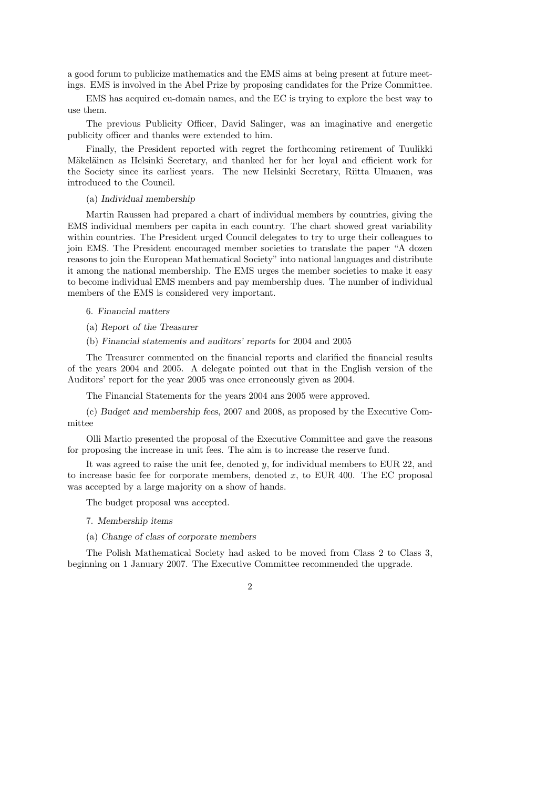a good forum to publicize mathematics and the EMS aims at being present at future meetings. EMS is involved in the Abel Prize by proposing candidates for the Prize Committee.

EMS has acquired eu-domain names, and the EC is trying to explore the best way to use them.

The previous Publicity Officer, David Salinger, was an imaginative and energetic publicity officer and thanks were extended to him.

Finally, the President reported with regret the forthcoming retirement of Tuulikki Mäkeläinen as Helsinki Secretary, and thanked her for her loyal and efficient work for the Society since its earliest years. The new Helsinki Secretary, Riitta Ulmanen, was introduced to the Council.

### (a) Individual membership

Martin Raussen had prepared a chart of individual members by countries, giving the EMS individual members per capita in each country. The chart showed great variability within countries. The President urged Council delegates to try to urge their colleagues to join EMS. The President encouraged member societies to translate the paper "A dozen reasons to join the European Mathematical Society" into national languages and distribute it among the national membership. The EMS urges the member societies to make it easy to become individual EMS members and pay membership dues. The number of individual members of the EMS is considered very important.

## 6. Financial matters

- (a) Report of the Treasurer
- (b) Financial statements and auditors' reports for 2004 and 2005

The Treasurer commented on the financial reports and clarified the financial results of the years 2004 and 2005. A delegate pointed out that in the English version of the Auditors' report for the year 2005 was once erroneously given as 2004.

The Financial Statements for the years 2004 ans 2005 were approved.

(c) Budget and membership fees, 2007 and 2008, as proposed by the Executive Committee

Olli Martio presented the proposal of the Executive Committee and gave the reasons for proposing the increase in unit fees. The aim is to increase the reserve fund.

It was agreed to raise the unit fee, denoted y, for individual members to EUR 22, and to increase basic fee for corporate members, denoted  $x$ , to EUR 400. The EC proposal was accepted by a large majority on a show of hands.

The budget proposal was accepted.

- 7. Membership items
- (a) Change of class of corporate members

The Polish Mathematical Society had asked to be moved from Class 2 to Class 3, beginning on 1 January 2007. The Executive Committee recommended the upgrade.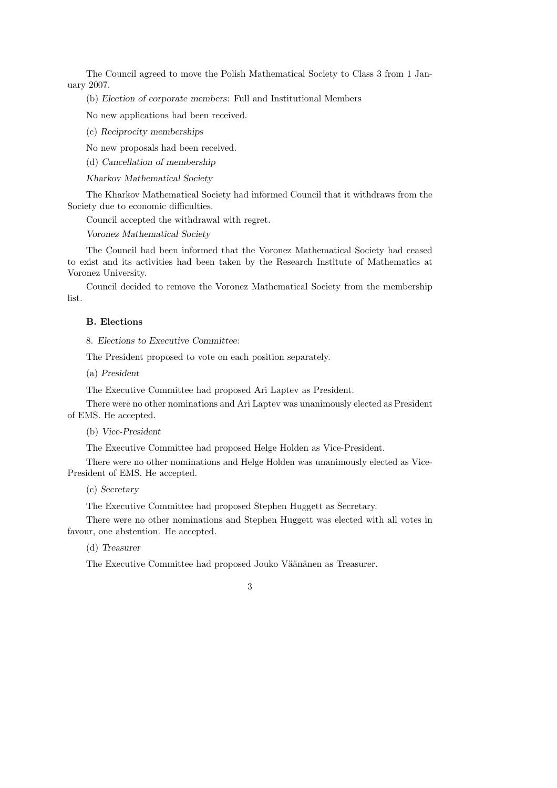The Council agreed to move the Polish Mathematical Society to Class 3 from 1 January 2007.

(b) Election of corporate members: Full and Institutional Members

No new applications had been received.

(c) Reciprocity memberships

No new proposals had been received.

(d) Cancellation of membership

Kharkov Mathematical Society

The Kharkov Mathematical Society had informed Council that it withdraws from the Society due to economic difficulties.

Council accepted the withdrawal with regret.

Voronez Mathematical Society

The Council had been informed that the Voronez Mathematical Society had ceased to exist and its activities had been taken by the Research Institute of Mathematics at Voronez University.

Council decided to remove the Voronez Mathematical Society from the membership list.

# B. Elections

8. Elections to Executive Committee:

The President proposed to vote on each position separately.

(a) President

The Executive Committee had proposed Ari Laptev as President.

There were no other nominations and Ari Laptev was unanimously elected as President of EMS. He accepted.

(b) Vice-President

The Executive Committee had proposed Helge Holden as Vice-President.

There were no other nominations and Helge Holden was unanimously elected as Vice-President of EMS. He accepted.

# (c) Secretary

The Executive Committee had proposed Stephen Huggett as Secretary.

There were no other nominations and Stephen Huggett was elected with all votes in favour, one abstention. He accepted.

(d) Treasurer

The Executive Committee had proposed Jouko Väänänen as Treasurer.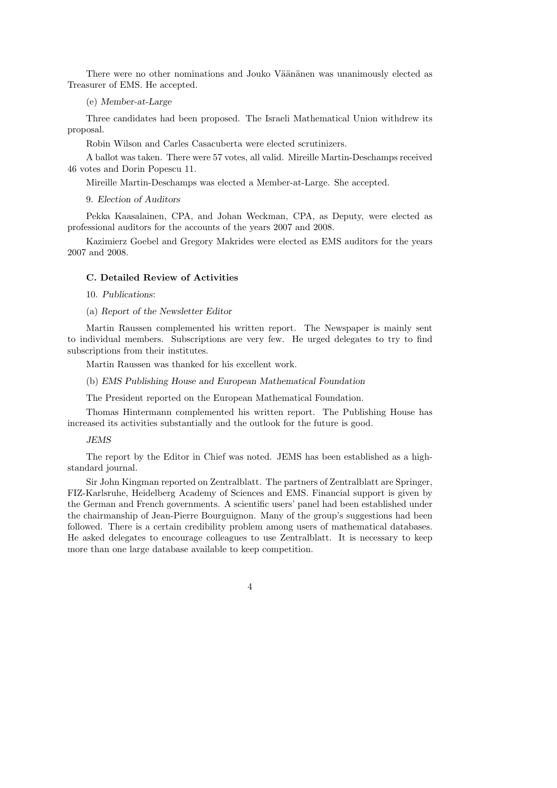There were no other nominations and Jouko Väänänen was unanimously elected as Treasurer of EMS. He accepted.

(e) Member-at-Large

Three candidates had been proposed. The Israeli Mathematical Union withdrew its proposal.

Robin Wilson and Carles Casacuberta were elected scrutinizers.

A ballot was taken. There were 57 votes, all valid. Mireille Martin-Deschamps received 46 votes and Dorin Popescu 11.

Mireille Martin-Deschamps was elected a Member-at-Large. She accepted.

9. Election of Auditors

Pekka Kaasalainen, CPA, and Johan Weckman, CPA, as Deputy, were elected as professional auditors for the accounts of the years 2007 and 2008.

Kazimierz Goebel and Gregory Makrides were elected as EMS auditors for the years 2007 and 2008.

## C. Detailed Review of Activities

10. Publications:

(a) Report of the Newsletter Editor

Martin Raussen complemented his written report. The Newspaper is mainly sent to individual members. Subscriptions are very few. He urged delegates to try to find subscriptions from their institutes.

Martin Raussen was thanked for his excellent work.

# (b) EMS Publishing House and European Mathematical Foundation

The President reported on the European Mathematical Foundation.

Thomas Hintermann complemented his written report. The Publishing House has increased its activities substantially and the outlook for the future is good.

### JEMS

The report by the Editor in Chief was noted. JEMS has been established as a highstandard journal.

Sir John Kingman reported on Zentralblatt. The partners of Zentralblatt are Springer, FIZ-Karlsruhe, Heidelberg Academy of Sciences and EMS. Financial support is given by the German and French governments. A scientific users' panel had been established under the chairmanship of Jean-Pierre Bourguignon. Many of the group's suggestions had been followed. There is a certain credibility problem among users of mathematical databases. He asked delegates to encourage colleagues to use Zentralblatt. It is necessary to keep more than one large database available to keep competition.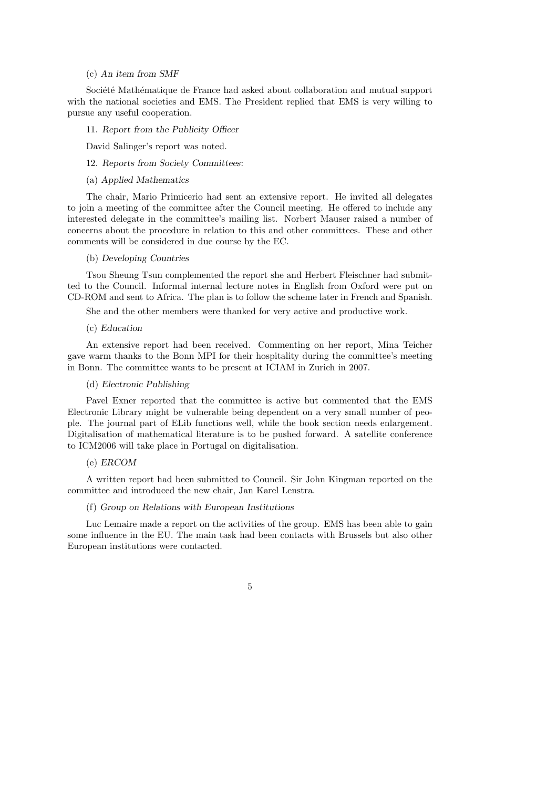# (c) An item from SMF

Société Mathématique de France had asked about collaboration and mutual support with the national societies and EMS. The President replied that EMS is very willing to pursue any useful cooperation.

#### 11. Report from the Publicity Officer

David Salinger's report was noted.

# 12. Reports from Society Committees:

#### (a) Applied Mathematics

The chair, Mario Primicerio had sent an extensive report. He invited all delegates to join a meeting of the committee after the Council meeting. He offered to include any interested delegate in the committee's mailing list. Norbert Mauser raised a number of concerns about the procedure in relation to this and other committees. These and other comments will be considered in due course by the EC.

### (b) Developing Countries

Tsou Sheung Tsun complemented the report she and Herbert Fleischner had submitted to the Council. Informal internal lecture notes in English from Oxford were put on CD-ROM and sent to Africa. The plan is to follow the scheme later in French and Spanish.

She and the other members were thanked for very active and productive work.

#### (c) Education

An extensive report had been received. Commenting on her report, Mina Teicher gave warm thanks to the Bonn MPI for their hospitality during the committee's meeting in Bonn. The committee wants to be present at ICIAM in Zurich in 2007.

## (d) Electronic Publishing

Pavel Exner reported that the committee is active but commented that the EMS Electronic Library might be vulnerable being dependent on a very small number of people. The journal part of ELib functions well, while the book section needs enlargement. Digitalisation of mathematical literature is to be pushed forward. A satellite conference to ICM2006 will take place in Portugal on digitalisation.

## (e) ERCOM

A written report had been submitted to Council. Sir John Kingman reported on the committee and introduced the new chair, Jan Karel Lenstra.

# (f) Group on Relations with European Institutions

Luc Lemaire made a report on the activities of the group. EMS has been able to gain some influence in the EU. The main task had been contacts with Brussels but also other European institutions were contacted.

## 5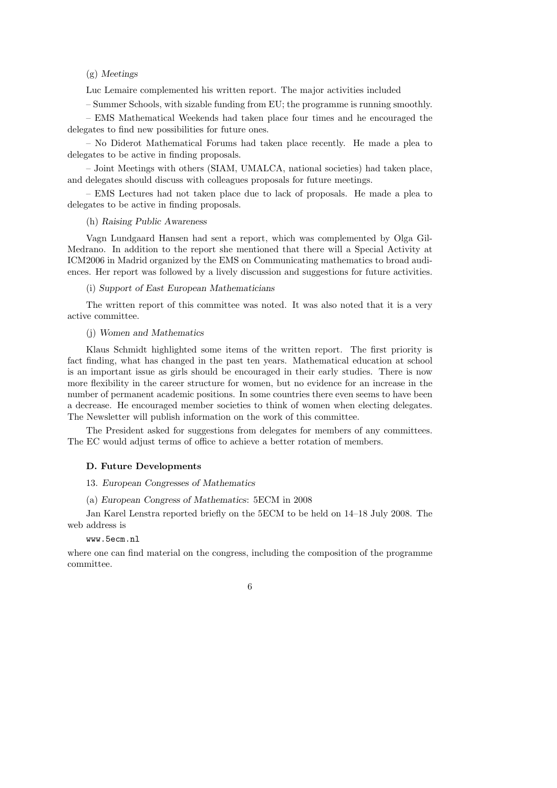# (g) Meetings

Luc Lemaire complemented his written report. The major activities included

– Summer Schools, with sizable funding from EU; the programme is running smoothly.

– EMS Mathematical Weekends had taken place four times and he encouraged the delegates to find new possibilities for future ones.

– No Diderot Mathematical Forums had taken place recently. He made a plea to delegates to be active in finding proposals.

– Joint Meetings with others (SIAM, UMALCA, national societies) had taken place, and delegates should discuss with colleagues proposals for future meetings.

– EMS Lectures had not taken place due to lack of proposals. He made a plea to delegates to be active in finding proposals.

## (h) Raising Public Awareness

Vagn Lundgaard Hansen had sent a report, which was complemented by Olga Gil-Medrano. In addition to the report she mentioned that there will a Special Activity at ICM2006 in Madrid organized by the EMS on Communicating mathematics to broad audiences. Her report was followed by a lively discussion and suggestions for future activities.

(i) Support of East European Mathematicians

The written report of this committee was noted. It was also noted that it is a very active committee.

(j) Women and Mathematics

Klaus Schmidt highlighted some items of the written report. The first priority is fact finding, what has changed in the past ten years. Mathematical education at school is an important issue as girls should be encouraged in their early studies. There is now more flexibility in the career structure for women, but no evidence for an increase in the number of permanent academic positions. In some countries there even seems to have been a decrease. He encouraged member societies to think of women when electing delegates. The Newsletter will publish information on the work of this committee.

The President asked for suggestions from delegates for members of any committees. The EC would adjust terms of office to achieve a better rotation of members.

# D. Future Developments

- 13. European Congresses of Mathematics
- (a) European Congress of Mathematics: 5ECM in 2008

Jan Karel Lenstra reported briefly on the 5ECM to be held on 14–18 July 2008. The web address is

# www.5ecm.nl

where one can find material on the congress, including the composition of the programme committee.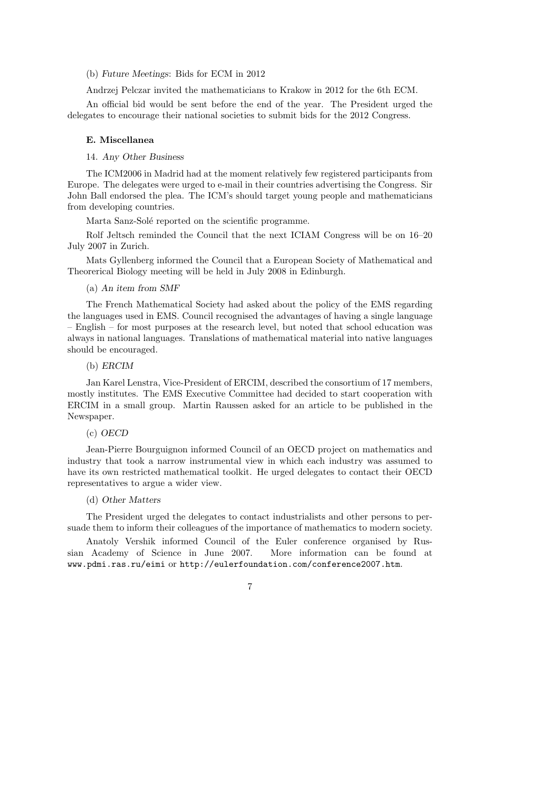## (b) Future Meetings: Bids for ECM in 2012

Andrzej Pelczar invited the mathematicians to Krakow in 2012 for the 6th ECM.

An official bid would be sent before the end of the year. The President urged the delegates to encourage their national societies to submit bids for the 2012 Congress.

#### E. Miscellanea

14. Any Other Business

The ICM2006 in Madrid had at the moment relatively few registered participants from Europe. The delegates were urged to e-mail in their countries advertising the Congress. Sir John Ball endorsed the plea. The ICM's should target young people and mathematicians from developing countries.

Marta Sanz-Solé reported on the scientific programme.

Rolf Jeltsch reminded the Council that the next ICIAM Congress will be on 16–20 July 2007 in Zurich.

Mats Gyllenberg informed the Council that a European Society of Mathematical and Theorerical Biology meeting will be held in July 2008 in Edinburgh.

(a) An item from SMF

The French Mathematical Society had asked about the policy of the EMS regarding the languages used in EMS. Council recognised the advantages of having a single language – English – for most purposes at the research level, but noted that school education was always in national languages. Translations of mathematical material into native languages should be encouraged.

## (b) ERCIM

Jan Karel Lenstra, Vice-President of ERCIM, described the consortium of 17 members, mostly institutes. The EMS Executive Committee had decided to start cooperation with ERCIM in a small group. Martin Raussen asked for an article to be published in the Newspaper.

## (c) OECD

Jean-Pierre Bourguignon informed Council of an OECD project on mathematics and industry that took a narrow instrumental view in which each industry was assumed to have its own restricted mathematical toolkit. He urged delegates to contact their OECD representatives to argue a wider view.

## (d) Other Matters

The President urged the delegates to contact industrialists and other persons to persuade them to inform their colleagues of the importance of mathematics to modern society.

Anatoly Vershik informed Council of the Euler conference organised by Russian Academy of Science in June 2007. More information can be found at www.pdmi.ras.ru/eimi or http://eulerfoundation.com/conference2007.htm.